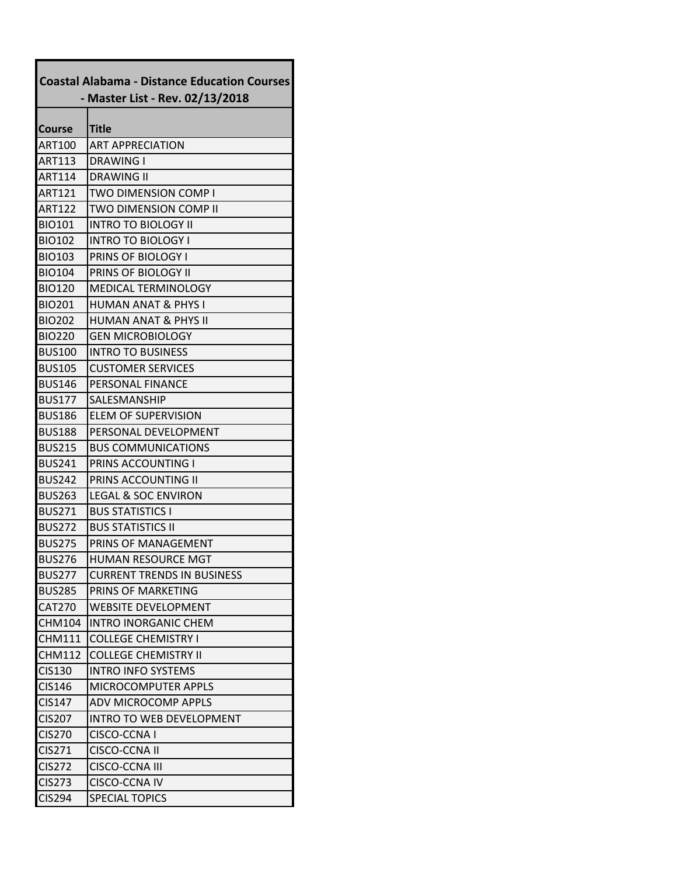| <b>Coastal Alabama - Distance Education Courses</b> |                                   |  |
|-----------------------------------------------------|-----------------------------------|--|
|                                                     | - Master List - Rev. 02/13/2018   |  |
| Course                                              | Title                             |  |
| <b>ART100</b>                                       | <b>ART APPRECIATION</b>           |  |
| <b>ART113</b>                                       | DRAWING I                         |  |
| <b>ART114</b>                                       | <b>DRAWING II</b>                 |  |
| <b>ART121</b>                                       | <b>TWO DIMENSION COMP I</b>       |  |
| <b>ART122</b>                                       | TWO DIMENSION COMP II             |  |
| <b>BIO101</b>                                       | <b>INTRO TO BIOLOGY II</b>        |  |
| <b>BIO102</b>                                       | <b>INTRO TO BIOLOGY I</b>         |  |
| <b>BIO103</b>                                       | PRINS OF BIOLOGY I                |  |
| <b>BIO104</b>                                       | <b>PRINS OF BIOLOGY II</b>        |  |
| <b>BIO120</b>                                       | <b>MEDICAL TERMINOLOGY</b>        |  |
| <b>BIO201</b>                                       | <b>HUMAN ANAT &amp; PHYS I</b>    |  |
| <b>BIO202</b>                                       | <b>HUMAN ANAT &amp; PHYS II</b>   |  |
| <b>BIO220</b>                                       | <b>GEN MICROBIOLOGY</b>           |  |
| <b>BUS100</b>                                       | <b>INTRO TO BUSINESS</b>          |  |
| <b>BUS105</b>                                       | <b>CUSTOMER SERVICES</b>          |  |
| <b>BUS146</b>                                       | PERSONAL FINANCE                  |  |
| <b>BUS177</b>                                       | <b>SALESMANSHIP</b>               |  |
| <b>BUS186</b>                                       | ELEM OF SUPERVISION               |  |
| <b>BUS188</b>                                       | PERSONAL DEVELOPMENT              |  |
| <b>BUS215</b>                                       | <b>BUS COMMUNICATIONS</b>         |  |
| <b>BUS241</b>                                       | PRINS ACCOUNTING I                |  |
| <b>BUS242</b>                                       | <b>PRINS ACCOUNTING II</b>        |  |
| <b>BUS263</b>                                       | <b>LEGAL &amp; SOC ENVIRON</b>    |  |
| <b>BUS271</b>                                       | <b>BUS STATISTICS I</b>           |  |
| <b>BUS272</b>                                       | <b>BUS STATISTICS II</b>          |  |
| <b>BUS275</b>                                       | PRINS OF MANAGEMENT               |  |
| <b>BUS276</b>                                       | <b>HUMAN RESOURCE MGT</b>         |  |
| <b>BUS277</b>                                       | <b>CURRENT TRENDS IN BUSINESS</b> |  |
| <b>BUS285</b>                                       | PRINS OF MARKETING                |  |
| <b>CAT270</b>                                       | <b>WEBSITE DEVELOPMENT</b>        |  |
| <b>CHM104</b>                                       | <b>INTRO INORGANIC CHEM</b>       |  |
| <b>CHM111</b>                                       | <b>COLLEGE CHEMISTRY I</b>        |  |
| <b>CHM112</b>                                       | <b>COLLEGE CHEMISTRY II</b>       |  |
| <b>CIS130</b>                                       | <b>INTRO INFO SYSTEMS</b>         |  |
| <b>CIS146</b>                                       | <b>MICROCOMPUTER APPLS</b>        |  |
| <b>CIS147</b>                                       | <b>ADV MICROCOMP APPLS</b>        |  |
| <b>CIS207</b>                                       | <b>INTRO TO WEB DEVELOPMENT</b>   |  |
| <b>CIS270</b>                                       | CISCO-CCNAI                       |  |
| CIS271                                              | CISCO-CCNA II                     |  |
| <b>CIS272</b>                                       | CISCO-CCNA III                    |  |
| <b>CIS273</b>                                       | <b>CISCO-CCNA IV</b>              |  |
| <b>CIS294</b>                                       | <b>SPECIAL TOPICS</b>             |  |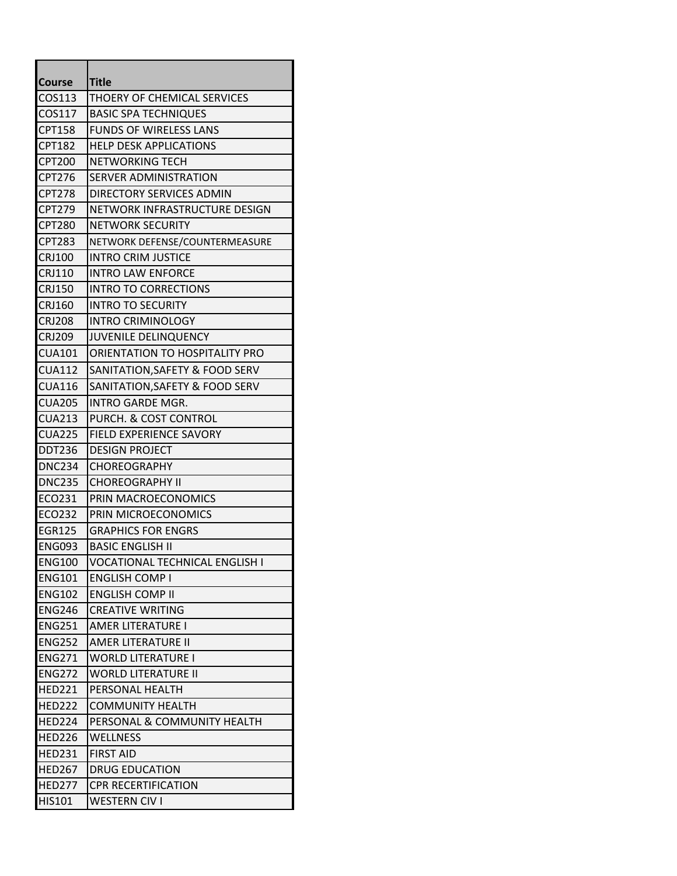| <b>Course</b> | <b>Title</b>                       |
|---------------|------------------------------------|
| COS113        | <b>THOERY OF CHEMICAL SERVICES</b> |
| COS117        | <b>BASIC SPA TECHNIQUES</b>        |
| <b>CPT158</b> | <b>FUNDS OF WIRELESS LANS</b>      |
| <b>CPT182</b> | <b>HELP DESK APPLICATIONS</b>      |
| <b>CPT200</b> | NETWORKING TECH                    |
| CPT276        | SERVER ADMINISTRATION              |
| <b>CPT278</b> | DIRECTORY SERVICES ADMIN           |
| CPT279        | NETWORK INFRASTRUCTURE DESIGN      |
| <b>CPT280</b> | NETWORK SECURITY                   |
| <b>CPT283</b> | NETWORK DEFENSE/COUNTERMEASURE     |
| <b>CRJ100</b> | <b>INTRO CRIM JUSTICE</b>          |
| <b>CRJ110</b> | <b>INTRO LAW ENFORCE</b>           |
| <b>CRJ150</b> | <b>INTRO TO CORRECTIONS</b>        |
| <b>CRJ160</b> | <b>INTRO TO SECURITY</b>           |
| <b>CRJ208</b> | <b>INTRO CRIMINOLOGY</b>           |
| <b>CRJ209</b> | <b>JUVENILE DELINQUENCY</b>        |
| <b>CUA101</b> | ORIENTATION TO HOSPITALITY PRO     |
| <b>CUA112</b> | SANITATION, SAFETY & FOOD SERV     |
| <b>CUA116</b> | SANITATION, SAFETY & FOOD SERV     |
| <b>CUA205</b> | <b>INTRO GARDE MGR.</b>            |
| <b>CUA213</b> | PURCH. & COST CONTROL              |
| <b>CUA225</b> | <b>FIELD EXPERIENCE SAVORY</b>     |
| <b>DDT236</b> | <b>DESIGN PROJECT</b>              |
| <b>DNC234</b> | <b>CHOREOGRAPHY</b>                |
| <b>DNC235</b> | <b>CHOREOGRAPHY II</b>             |
| ECO231        | PRIN MACROECONOMICS                |
| <b>ECO232</b> | PRIN MICROECONOMICS                |
| <b>EGR125</b> | <b>GRAPHICS FOR ENGRS</b>          |
| <b>ENG093</b> | <b>BASIC ENGLISH II</b>            |
| ENG100        | VOCATIONAL TECHNICAL ENGLISH I     |
| <b>ENG101</b> | <b>ENGLISH COMP I</b>              |
| <b>ENG102</b> | <b>ENGLISH COMP II</b>             |
| <b>ENG246</b> | <b>CREATIVE WRITING</b>            |
| <b>ENG251</b> | <b>AMER LITERATURE I</b>           |
| <b>ENG252</b> | AMER LITERATURE II                 |
| <b>ENG271</b> | <b>WORLD LITERATURE I</b>          |
| <b>ENG272</b> | <b>WORLD LITERATURE II</b>         |
| <b>HED221</b> | PERSONAL HEALTH                    |
| <b>HED222</b> | <b>COMMUNITY HEALTH</b>            |
| <b>HED224</b> | PERSONAL & COMMUNITY HEALTH        |
| <b>HED226</b> | <b>WELLNESS</b>                    |
| <b>HED231</b> | <b>FIRST AID</b>                   |
| <b>HED267</b> | <b>DRUG EDUCATION</b>              |
| <b>HED277</b> | <b>CPR RECERTIFICATION</b>         |
| HIS101        | <b>WESTERN CIV I</b>               |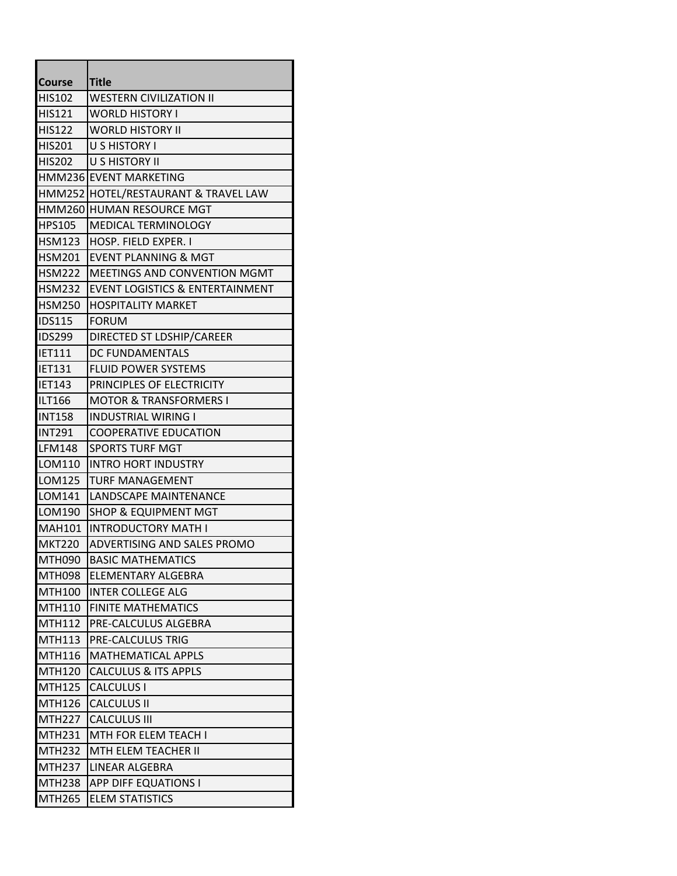| <b>Course</b> | <b>Title</b>                               |
|---------------|--------------------------------------------|
| <b>HIS102</b> | <b>WESTERN CIVILIZATION II</b>             |
| <b>HIS121</b> | <b>WORLD HISTORY I</b>                     |
| <b>HIS122</b> | <b>WORLD HISTORY II</b>                    |
| <b>HIS201</b> | U S HISTORY I                              |
| <b>HIS202</b> | <b>U S HISTORY II</b>                      |
|               | HMM236 EVENT MARKETING                     |
|               | HMM252 HOTEL/RESTAURANT & TRAVEL LAW       |
| <b>HMM260</b> | <b>HUMAN RESOURCE MGT</b>                  |
| <b>HPS105</b> | MEDICAL TERMINOLOGY                        |
| <b>HSM123</b> | HOSP. FIELD EXPER. I                       |
| <b>HSM201</b> | EVENT PLANNING & MGT                       |
| <b>HSM222</b> | MEETINGS AND CONVENTION MGMT               |
| <b>HSM232</b> | <b>EVENT LOGISTICS &amp; ENTERTAINMENT</b> |
| <b>HSM250</b> | <b>HOSPITALITY MARKET</b>                  |
| <b>IDS115</b> | <b>FORUM</b>                               |
| <b>IDS299</b> | DIRECTED ST LDSHIP/CAREER                  |
| <b>IET111</b> | DC FUNDAMENTALS                            |
| IET131        | <b>FLUID POWER SYSTEMS</b>                 |
| <b>IET143</b> | PRINCIPLES OF ELECTRICITY                  |
| ILT166        | <b>MOTOR &amp; TRANSFORMERS I</b>          |
| <b>INT158</b> | <b>INDUSTRIAL WIRING I</b>                 |
| <b>INT291</b> | <b>COOPERATIVE EDUCATION</b>               |
| LFM148        | <b>SPORTS TURF MGT</b>                     |
| LOM110        | <b>INTRO HORT INDUSTRY</b>                 |
| LOM125        | <b>TURF MANAGEMENT</b>                     |
| LOM141        | LANDSCAPE MAINTENANCE                      |
| LOM190        | <b>SHOP &amp; EQUIPMENT MGT</b>            |
| <b>MAH101</b> | <b>INTRODUCTORY MATH I</b>                 |
| <b>MKT220</b> | ADVERTISING AND SALES PROMO                |
| <b>MTH090</b> | <b>BASIC MATHEMATICS</b>                   |
| <b>MTH098</b> | ELEMENTARY ALGEBRA                         |
| <b>MTH100</b> | <b>INTER COLLEGE ALG</b>                   |
| <b>MTH110</b> | <b>FINITE MATHEMATICS</b>                  |
| <b>MTH112</b> | PRE-CALCULUS ALGEBRA                       |
| <b>MTH113</b> | PRE-CALCULUS TRIG                          |
| <b>MTH116</b> | <b>MATHEMATICAL APPLS</b>                  |
| <b>MTH120</b> | <b>CALCULUS &amp; ITS APPLS</b>            |
| <b>MTH125</b> | <b>CALCULUS I</b>                          |
| <b>MTH126</b> | <b>CALCULUS II</b>                         |
| <b>MTH227</b> | <b>CALCULUS III</b>                        |
| <b>MTH231</b> | <b>MTH FOR ELEM TEACH I</b>                |
| <b>MTH232</b> | MTH ELEM TEACHER II                        |
| <b>MTH237</b> | LINEAR ALGEBRA                             |
| <b>MTH238</b> | <b>APP DIFF EQUATIONS I</b>                |
| <b>MTH265</b> | <b>ELEM STATISTICS</b>                     |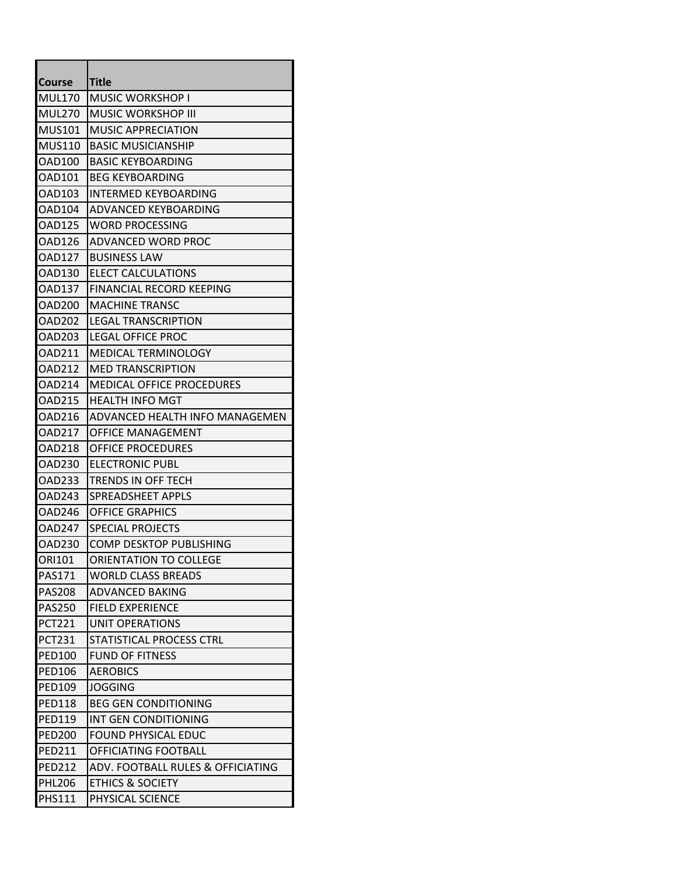| <b>Course</b> | Title                             |
|---------------|-----------------------------------|
| <b>MUL170</b> | MUSIC WORKSHOP I                  |
| <b>MUL270</b> | <b>MUSIC WORKSHOP III</b>         |
| <b>MUS101</b> | <b>MUSIC APPRECIATION</b>         |
| <b>MUS110</b> | <b>BASIC MUSICIANSHIP</b>         |
| <b>OAD100</b> | <b>BASIC KEYBOARDING</b>          |
| OAD101        | BEG KEYBOARDING                   |
| <b>OAD103</b> | <b>INTERMED KEYBOARDING</b>       |
| OAD104        | ADVANCED KEYBOARDING              |
| <b>OAD125</b> | <b>WORD PROCESSING</b>            |
| <b>OAD126</b> | ADVANCED WORD PROC                |
| OAD127        | <b>BUSINESS LAW</b>               |
| <b>OAD130</b> | <b>ELECT CALCULATIONS</b>         |
| OAD137        | FINANCIAL RECORD KEEPING          |
| <b>OAD200</b> | <b>MACHINE TRANSC</b>             |
| <b>OAD202</b> | <b>LEGAL TRANSCRIPTION</b>        |
| IOAD203       | LEGAL OFFICE PROC                 |
| <b>OAD211</b> | MEDICAL TERMINOLOGY               |
| OAD212        | <b>MED TRANSCRIPTION</b>          |
| <b>OAD214</b> | <b>MEDICAL OFFICE PROCEDURES</b>  |
| <b>OAD215</b> | <b>HEALTH INFO MGT</b>            |
| IOAD216       | ADVANCED HEALTH INFO MANAGEMEN    |
| <b>OAD217</b> | <b>OFFICE MANAGEMENT</b>          |
| OAD218        | <b>OFFICE PROCEDURES</b>          |
| OAD230        | <b>ELECTRONIC PUBL</b>            |
| <b>OAD233</b> | TRENDS IN OFF TECH                |
| OAD243        | SPREADSHEET APPLS                 |
| <b>OAD246</b> | <b>OFFICE GRAPHICS</b>            |
| <b>OAD247</b> | <b>SPECIAL PROJECTS</b>           |
| <b>OAD230</b> | <b>COMP DESKTOP PUBLISHING</b>    |
| ORI101        | ORIENTATION TO COLLEGE            |
| <b>PAS171</b> | <b>WORLD CLASS BREADS</b>         |
| <b>PAS208</b> | <b>ADVANCED BAKING</b>            |
| <b>PAS250</b> | <b>FIELD EXPERIENCE</b>           |
| <b>PCT221</b> | UNIT OPERATIONS                   |
| <b>PCT231</b> | STATISTICAL PROCESS CTRL          |
| <b>PED100</b> | <b>FUND OF FITNESS</b>            |
| <b>PED106</b> | <b>AEROBICS</b>                   |
| <b>PED109</b> | <b>JOGGING</b>                    |
| PED118        | <b>BEG GEN CONDITIONING</b>       |
| <b>PED119</b> | INT GEN CONDITIONING              |
| <b>PED200</b> | <b>FOUND PHYSICAL EDUC</b>        |
| <b>PED211</b> | OFFICIATING FOOTBALL              |
| <b>PED212</b> | ADV. FOOTBALL RULES & OFFICIATING |
| <b>PHL206</b> | <b>ETHICS &amp; SOCIETY</b>       |
| <b>PHS111</b> | PHYSICAL SCIENCE                  |